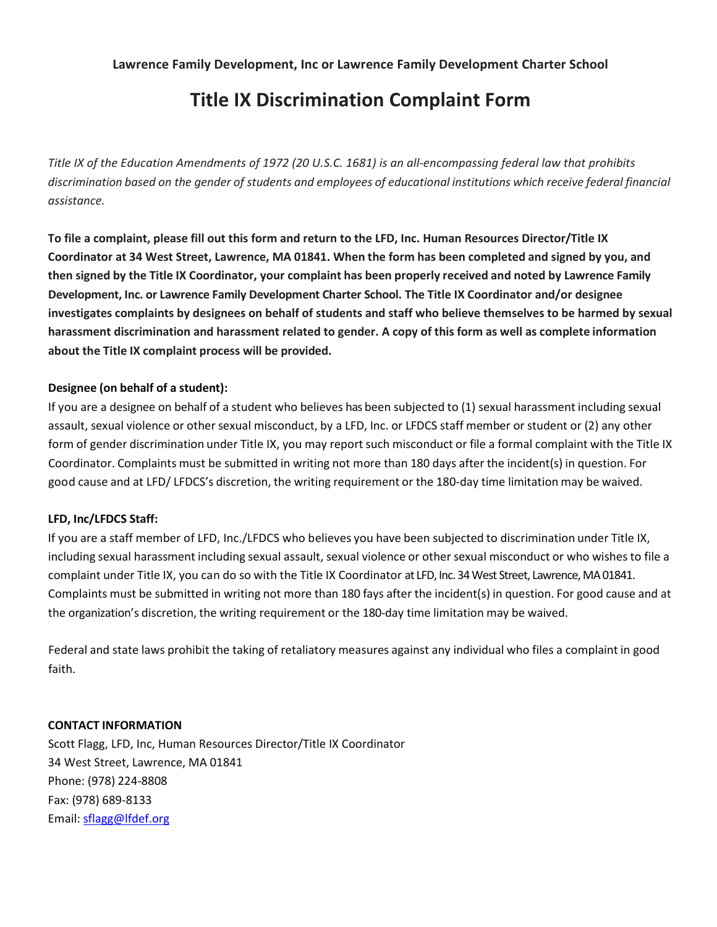# **Title IX Discrimination Complaint Form**

*Title IX of the Education Amendments of 1972 (20 U.S.C. 1681) is an all-encompassing federal law that prohibits*  discrimination based on the gender of students and employees of educational institutions which receive federal financial *assistance.*

**To file a complaint, please fill out this form and return to the LFD, Inc. Human Resources Director/Title IX Coordinator at 34 West Street, Lawrence, MA 01841. When the form has been completed and signed by you, and then signed by the Title IX Coordinator, your complaint has been properly received and noted by Lawrence Family Development, Inc. or Lawrence Family Development Charter School. The Title IX Coordinator and/or designee investigates complaints by designees on behalf of students and staff who believe themselves to be harmed by sexual harassment discrimination and harassment related to gender. A copy of this form as well as complete information about the Title IX complaint process will be provided.**

### **Designee (on behalf of a student):**

If you are a designee on behalf of a student who believes has been subjected to (1) sexual harassment including sexual assault, sexual violence or other sexual misconduct, by a LFD, Inc. or LFDCS staff member or student or (2) any other form of gender discrimination under Title IX, you may report such misconduct or file a formal complaint with the Title IX Coordinator. Complaints must be submitted in writing not more than 180 days after the incident(s) in question. For good cause and at LFD/ LFDCS's discretion, the writing requirement or the 180-day time limitation may be waived.

### **LFD, Inc/LFDCS Staff:**

If you are a staff member of LFD, Inc./LFDCS who believes you have been subjected to discrimination under Title IX, including sexual harassment including sexual assault, sexual violence or other sexual misconduct or who wishes to file a complaint under Title IX, you can do so with the Title IX Coordinator at LFD, Inc. 34 West Street, Lawrence, MA 01841. Complaints must be submitted in writing not more than 180 fays after the incident(s) in question. For good cause and at the organization's discretion, the writing requirement or the 180-day time limitation may be waived.

Federal and state laws prohibit the taking of retaliatory measures against any individual who files a complaint in good faith.

#### **CONTACT INFORMATION**

Scott Flagg, LFD, Inc, Human Resources Director/Title IX Coordinator 34 West Street, Lawrence, MA 01841 Phone: (978) 224-8808 Fax: (978) 689-8133 Email: [sflagg@lfdef.org](mailto:sflagg@lfdef.org)